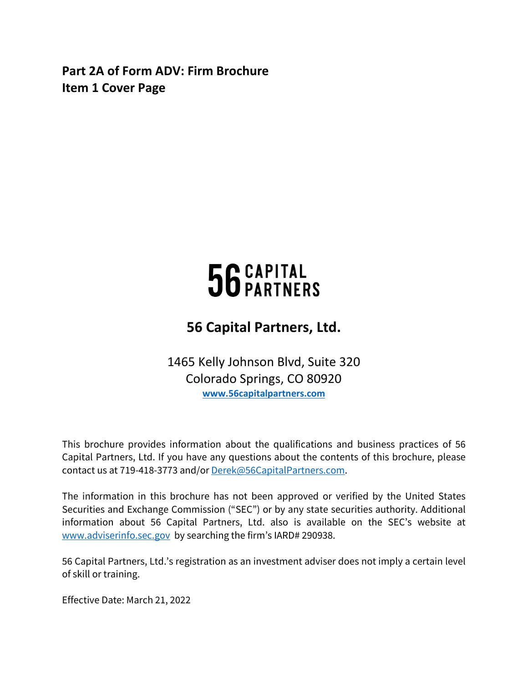<span id="page-0-0"></span>**Part 2A of Form ADV: Firm Brochure Item 1 Cover Page**

# 56 CAPITAL<br>56 PARTNERS

# **56 Capital Partners, Ltd.**

1465 Kelly Johnson Blvd, Suite 320 Colorado Springs, CO 80920 **[www.56capitalpartners.com](http://www.56capitalpartners.com/)** 

This brochure provides information about the qualifications and business practices of 56 Capital Partners, Ltd. If you have any questions about the contents of this brochure, please contact us at 719-418-3773 and/or [Derek@56CapitalPartners.com.](mailto:Derek@56CapitalPartners.com)

The information in this brochure has not been approved or verified by the United States Securities and Exchange Commission ("SEC") or by any state securities authority. Additional information about 56 Capital Partners, Ltd. also is available on the SEC's website at [www.adviserinfo.sec.gov](http://www.adviserinfo.sec.gov/) by searching the firm's IARD# 290938.

56 Capital Partners, Ltd.'s registration as an investment adviser does not imply a certain level of skill or training.

Effective Date: March 21, 2022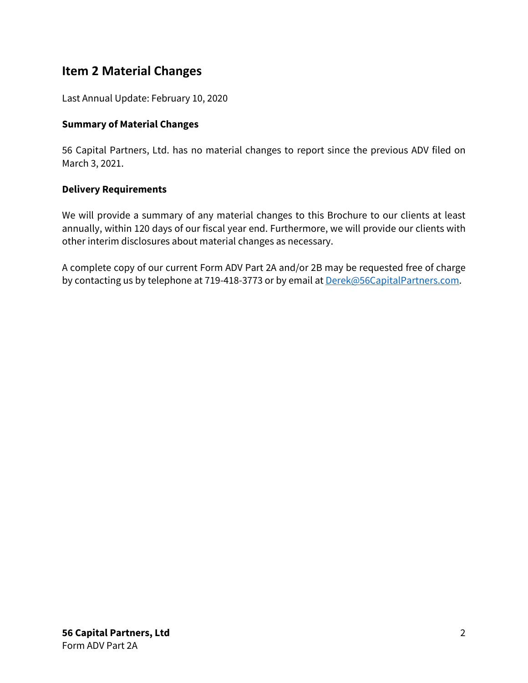# <span id="page-1-0"></span>**Item 2 Material Changes**

Last Annual Update: February 10, 2020

# **Summary of Material Changes**

56 Capital Partners, Ltd. has no material changes to report since the previous ADV filed on March 3, 2021.

# **Delivery Requirements**

We will provide a summary of any material changes to this Brochure to our clients at least annually, within 120 days of our fiscal year end. Furthermore, we will provide our clients with other interim disclosures about material changes as necessary.

A complete copy of our current Form ADV Part 2A and/or 2B may be requested free of charge by contacting us by telephone at 719-418-3773 or by email at **Derek@56CapitalPartners.com.**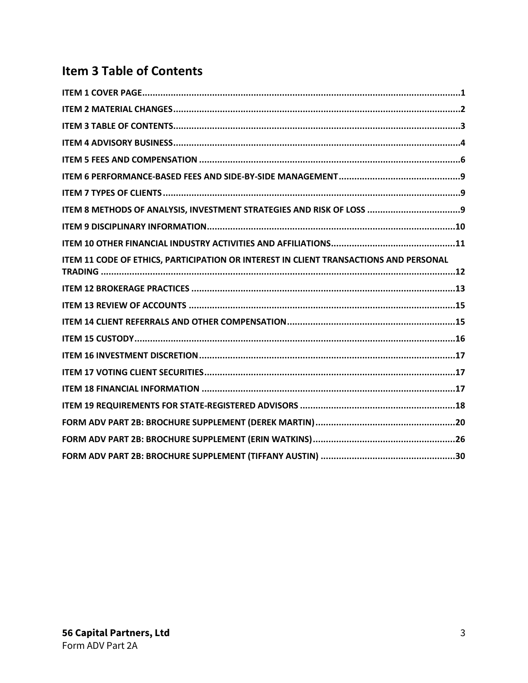# <span id="page-2-0"></span>**Item 3 Table of Contents**

| ITEM 11 CODE OF ETHICS, PARTICIPATION OR INTEREST IN CLIENT TRANSACTIONS AND PERSONAL |  |
|---------------------------------------------------------------------------------------|--|
|                                                                                       |  |
|                                                                                       |  |
|                                                                                       |  |
|                                                                                       |  |
|                                                                                       |  |
|                                                                                       |  |
|                                                                                       |  |
|                                                                                       |  |
|                                                                                       |  |
|                                                                                       |  |
|                                                                                       |  |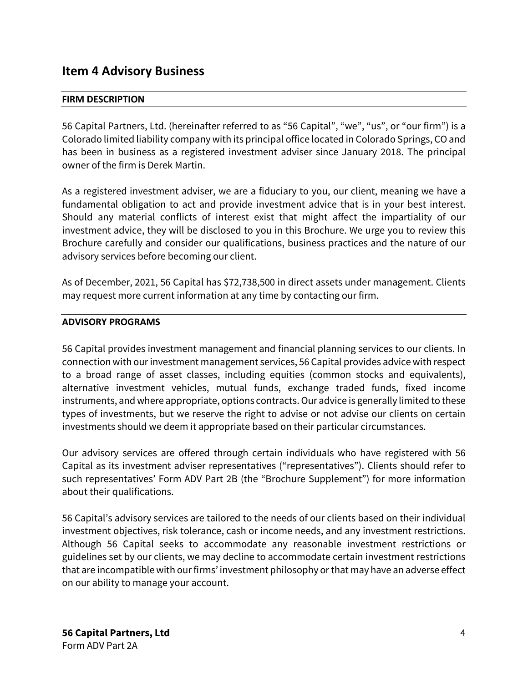# <span id="page-3-0"></span>**Item 4 Advisory Business**

## **FIRM DESCRIPTION**

56 Capital Partners, Ltd. (hereinafter referred to as "56 Capital", "we", "us", or "our firm") is a Colorado limited liability company with its principal office located in Colorado Springs, CO and has been in business as a registered investment adviser since January 2018. The principal owner of the firm is Derek Martin.

As a registered investment adviser, we are a fiduciary to you, our client, meaning we have a fundamental obligation to act and provide investment advice that is in your best interest. Should any material conflicts of interest exist that might affect the impartiality of our investment advice, they will be disclosed to you in this Brochure. We urge you to review this Brochure carefully and consider our qualifications, business practices and the nature of our advisory services before becoming our client.

As of December, 2021, 56 Capital has \$72,738,500 in direct assets under management. Clients may request more current information at any time by contacting our firm.

### **ADVISORY PROGRAMS**

56 Capital provides investment management and financial planning services to our clients. In connection with our investment management services, 56 Capital provides advice with respect to a broad range of asset classes, including equities (common stocks and equivalents), alternative investment vehicles, mutual funds, exchange traded funds, fixed income instruments, and where appropriate, options contracts. Our advice is generally limited to these types of investments, but we reserve the right to advise or not advise our clients on certain investments should we deem it appropriate based on their particular circumstances.

Our advisory services are offered through certain individuals who have registered with 56 Capital as its investment adviser representatives ("representatives"). Clients should refer to such representatives' Form ADV Part 2B (the "Brochure Supplement") for more information about their qualifications.

56 Capital's advisory services are tailored to the needs of our clients based on their individual investment objectives, risk tolerance, cash or income needs, and any investment restrictions. Although 56 Capital seeks to accommodate any reasonable investment restrictions or guidelines set by our clients, we may decline to accommodate certain investment restrictions that are incompatible with our firms' investment philosophy or that may have an adverse effect on our ability to manage your account.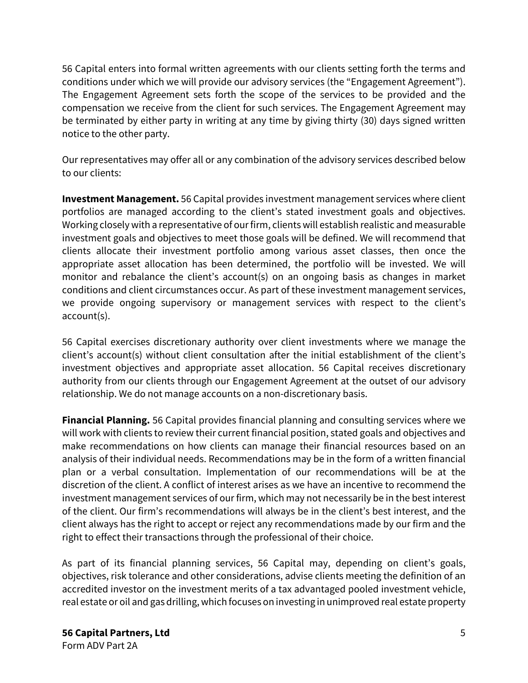56 Capital enters into formal written agreements with our clients setting forth the terms and conditions under which we will provide our advisory services (the "Engagement Agreement"). The Engagement Agreement sets forth the scope of the services to be provided and the compensation we receive from the client for such services. The Engagement Agreement may be terminated by either party in writing at any time by giving thirty (30) days signed written notice to the other party.

Our representatives may offer all or any combination of the advisory services described below to our clients:

**Investment Management.** 56 Capital provides investment management services where client portfolios are managed according to the client's stated investment goals and objectives. Working closely with a representative of our firm, clients will establish realistic and measurable investment goals and objectives to meet those goals will be defined. We will recommend that clients allocate their investment portfolio among various asset classes, then once the appropriate asset allocation has been determined, the portfolio will be invested. We will monitor and rebalance the client's account(s) on an ongoing basis as changes in market conditions and client circumstances occur. As part of these investment management services, we provide ongoing supervisory or management services with respect to the client's account(s).

56 Capital exercises discretionary authority over client investments where we manage the client's account(s) without client consultation after the initial establishment of the client's investment objectives and appropriate asset allocation. 56 Capital receives discretionary authority from our clients through our Engagement Agreement at the outset of our advisory relationship. We do not manage accounts on a non-discretionary basis.

**Financial Planning.** 56 Capital provides financial planning and consulting services where we will work with clients to review their current financial position, stated goals and objectives and make recommendations on how clients can manage their financial resources based on an analysis of their individual needs. Recommendations may be in the form of a written financial plan or a verbal consultation. Implementation of our recommendations will be at the discretion of the client. A conflict of interest arises as we have an incentive to recommend the investment management services of our firm, which may not necessarily be in the best interest of the client. Our firm's recommendations will always be in the client's best interest, and the client always has the right to accept or reject any recommendations made by our firm and the right to effect their transactions through the professional of their choice.

As part of its financial planning services, 56 Capital may, depending on client's goals, objectives, risk tolerance and other considerations, advise clients meeting the definition of an accredited investor on the investment merits of a tax advantaged pooled investment vehicle, real estate or oil and gas drilling, which focuses on investing in unimproved real estate property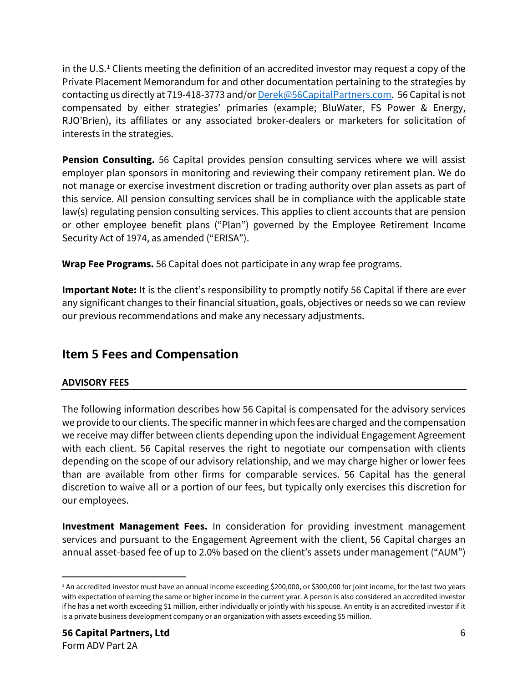in the U.S. [1](#page-5-1) Clients meeting the definition of an accredited investor may request a copy of the Private Placement Memorandum for and other documentation pertaining to the strategies by contacting us directly at 719-418-3773 and/o[r Derek@56CapitalPartners.com.](mailto:Derek@56CapitalPartners.com) 56 Capital is not compensated by either strategies' primaries (example; BluWater, FS Power & Energy, RJO'Brien), its affiliates or any associated broker-dealers or marketers for solicitation of interests in the strategies.

**Pension Consulting.** 56 Capital provides pension consulting services where we will assist employer plan sponsors in monitoring and reviewing their company retirement plan. We do not manage or exercise investment discretion or trading authority over plan assets as part of this service. All pension consulting services shall be in compliance with the applicable state law(s) regulating pension consulting services. This applies to client accounts that are pension or other employee benefit plans ("Plan") governed by the Employee Retirement Income Security Act of 1974, as amended ("ERISA").

**Wrap Fee Programs.** 56 Capital does not participate in any wrap fee programs.

**Important Note:** It is the client's responsibility to promptly notify 56 Capital if there are ever any significant changes to their financial situation, goals, objectives or needs so we can review our previous recommendations and make any necessary adjustments.

# <span id="page-5-0"></span>**Item 5 Fees and Compensation**

# **ADVISORY FEES**

The following information describes how 56 Capital is compensated for the advisory services we provide to our clients. The specific manner in which fees are charged and the compensation we receive may differ between clients depending upon the individual Engagement Agreement with each client. 56 Capital reserves the right to negotiate our compensation with clients depending on the scope of our advisory relationship, and we may charge higher or lower fees than are available from other firms for comparable services. 56 Capital has the general discretion to waive all or a portion of our fees, but typically only exercises this discretion for our employees.

**Investment Management Fees.** In consideration for providing investment management services and pursuant to the Engagement Agreement with the client, 56 Capital charges an annual asset-based fee of up to 2.0% based on the client's assets under management ("AUM")

<span id="page-5-1"></span><sup>&</sup>lt;sup>1</sup> An accredited investor must have an annual income exceeding \$200,000, or \$300,000 for joint income, for the last two years with expectation of earning the same or higher income in the current year. A person is also considered an accredited investor if he has a net worth exceeding \$1 million, either individually or jointly with his spouse. An entity is an accredited investor if it is a private business development company or an organization with assets exceeding \$5 million.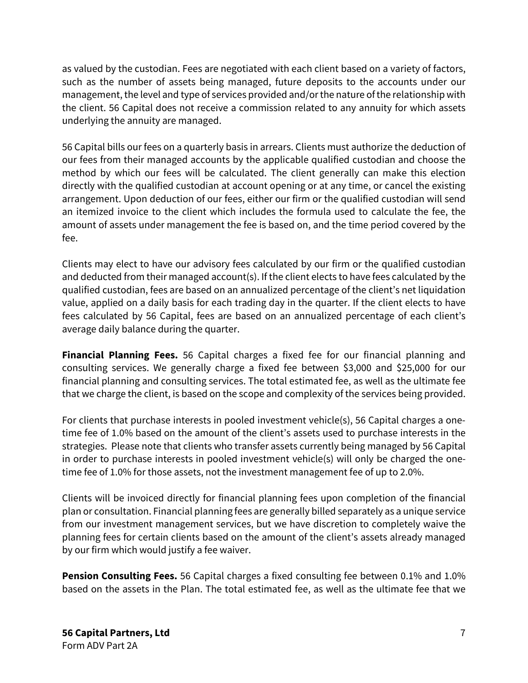as valued by the custodian. Fees are negotiated with each client based on a variety of factors, such as the number of assets being managed, future deposits to the accounts under our management, the level and type of services provided and/or the nature of the relationship with the client. 56 Capital does not receive a commission related to any annuity for which assets underlying the annuity are managed.

56 Capital bills our fees on a quarterly basis in arrears. Clients must authorize the deduction of our fees from their managed accounts by the applicable qualified custodian and choose the method by which our fees will be calculated. The client generally can make this election directly with the qualified custodian at account opening or at any time, or cancel the existing arrangement. Upon deduction of our fees, either our firm or the qualified custodian will send an itemized invoice to the client which includes the formula used to calculate the fee, the amount of assets under management the fee is based on, and the time period covered by the fee.

Clients may elect to have our advisory fees calculated by our firm or the qualified custodian and deducted from their managed account(s). If the client elects to have fees calculated by the qualified custodian, fees are based on an annualized percentage of the client's net liquidation value, applied on a daily basis for each trading day in the quarter. If the client elects to have fees calculated by 56 Capital, fees are based on an annualized percentage of each client's average daily balance during the quarter.

**Financial Planning Fees.** 56 Capital charges a fixed fee for our financial planning and consulting services. We generally charge a fixed fee between \$3,000 and \$25,000 for our financial planning and consulting services. The total estimated fee, as well as the ultimate fee that we charge the client, is based on the scope and complexity of the services being provided.

For clients that purchase interests in pooled investment vehicle(s), 56 Capital charges a onetime fee of 1.0% based on the amount of the client's assets used to purchase interests in the strategies. Please note that clients who transfer assets currently being managed by 56 Capital in order to purchase interests in pooled investment vehicle(s) will only be charged the onetime fee of 1.0% for those assets, not the investment management fee of up to 2.0%.

Clients will be invoiced directly for financial planning fees upon completion of the financial plan or consultation. Financial planning fees are generally billed separately as a unique service from our investment management services, but we have discretion to completely waive the planning fees for certain clients based on the amount of the client's assets already managed by our firm which would justify a fee waiver.

**Pension Consulting Fees.** 56 Capital charges a fixed consulting fee between 0.1% and 1.0% based on the assets in the Plan. The total estimated fee, as well as the ultimate fee that we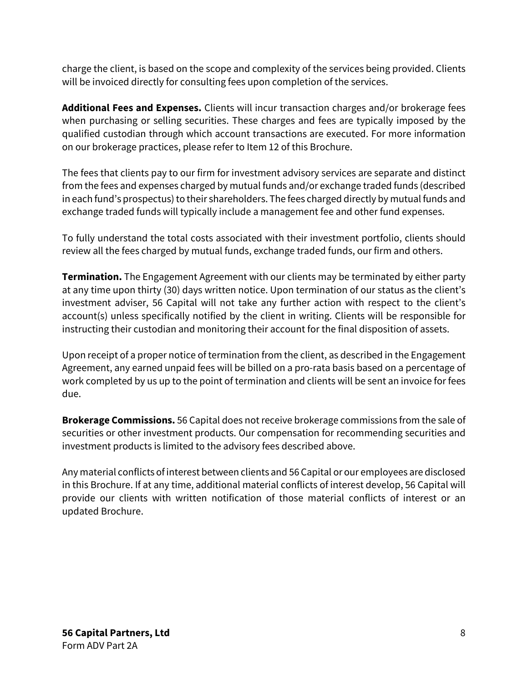charge the client, is based on the scope and complexity of the services being provided. Clients will be invoiced directly for consulting fees upon completion of the services.

**Additional Fees and Expenses.** Clients will incur transaction charges and/or brokerage fees when purchasing or selling securities. These charges and fees are typically imposed by the qualified custodian through which account transactions are executed. For more information on our brokerage practices, please refer to Item 12 of this Brochure.

The fees that clients pay to our firm for investment advisory services are separate and distinct from the fees and expenses charged by mutual funds and/or exchange traded funds (described in each fund's prospectus) to their shareholders. The fees charged directly by mutual funds and exchange traded funds will typically include a management fee and other fund expenses.

To fully understand the total costs associated with their investment portfolio, clients should review all the fees charged by mutual funds, exchange traded funds, our firm and others.

**Termination.** The Engagement Agreement with our clients may be terminated by either party at any time upon thirty (30) days written notice. Upon termination of our status as the client's investment adviser, 56 Capital will not take any further action with respect to the client's account(s) unless specifically notified by the client in writing. Clients will be responsible for instructing their custodian and monitoring their account for the final disposition of assets.

Upon receipt of a proper notice of termination from the client, as described in the Engagement Agreement, any earned unpaid fees will be billed on a pro-rata basis based on a percentage of work completed by us up to the point of termination and clients will be sent an invoice for fees due.

**Brokerage Commissions.** 56 Capital does not receive brokerage commissions from the sale of securities or other investment products. Our compensation for recommending securities and investment products is limited to the advisory fees described above.

Any material conflicts of interest between clients and 56 Capital or our employees are disclosed in this Brochure. If at any time, additional material conflicts of interest develop, 56 Capital will provide our clients with written notification of those material conflicts of interest or an updated Brochure.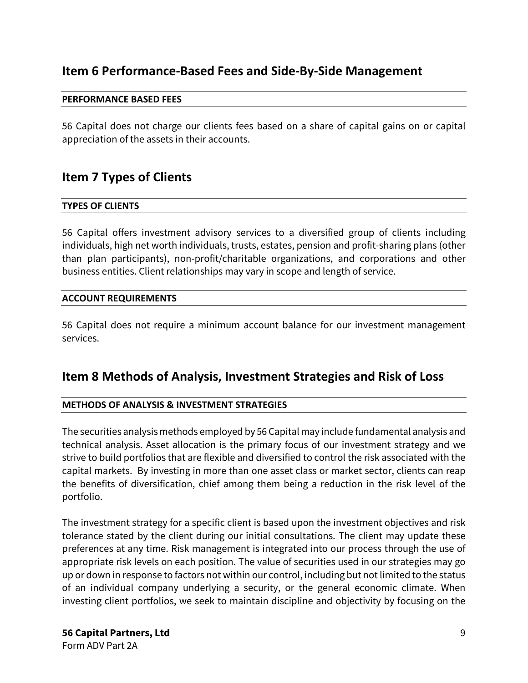# <span id="page-8-0"></span>**Item 6 Performance-Based Fees and Side-By-Side Management**

### **PERFORMANCE BASED FEES**

56 Capital does not charge our clients fees based on a share of capital gains on or capital appreciation of the assets in their accounts.

# <span id="page-8-1"></span>**Item 7 Types of Clients**

### **TYPES OF CLIENTS**

56 Capital offers investment advisory services to a diversified group of clients including individuals, high net worth individuals, trusts, estates, pension and profit-sharing plans (other than plan participants), non-profit/charitable organizations, and corporations and other business entities. Client relationships may vary in scope and length of service.

### **ACCOUNT REQUIREMENTS**

56 Capital does not require a minimum account balance for our investment management services.

# <span id="page-8-2"></span>**Item 8 Methods of Analysis, Investment Strategies and Risk of Loss**

# **METHODS OF ANALYSIS & INVESTMENT STRATEGIES**

The securities analysis methods employed by 56 Capital may include fundamental analysis and technical analysis. Asset allocation is the primary focus of our investment strategy and we strive to build portfolios that are flexible and diversified to control the risk associated with the capital markets. By investing in more than one asset class or market sector, clients can reap the benefits of diversification, chief among them being a reduction in the risk level of the portfolio.

The investment strategy for a specific client is based upon the investment objectives and risk tolerance stated by the client during our initial consultations. The client may update these preferences at any time. Risk management is integrated into our process through the use of appropriate risk levels on each position. The value of securities used in our strategies may go up or down in response to factors not within our control, including but not limited to the status of an individual company underlying a security, or the general economic climate. When investing client portfolios, we seek to maintain discipline and objectivity by focusing on the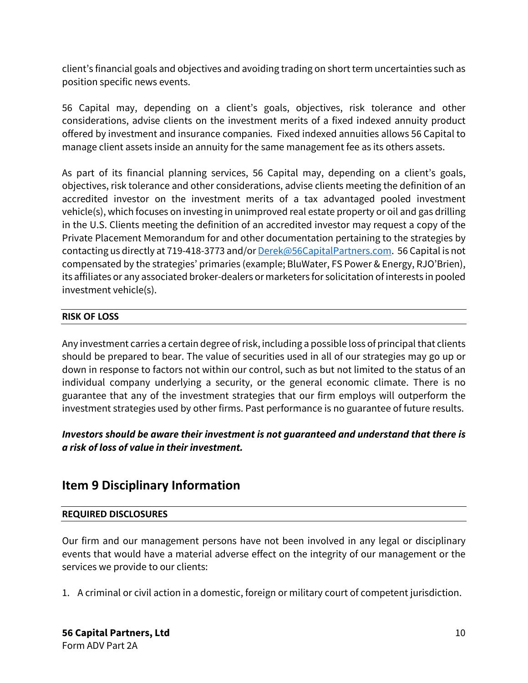client's financial goals and objectives and avoiding trading on short term uncertainties such as position specific news events.

56 Capital may, depending on a client's goals, objectives, risk tolerance and other considerations, advise clients on the investment merits of a fixed indexed annuity product offered by investment and insurance companies. Fixed indexed annuities allows 56 Capital to manage client assets inside an annuity for the same management fee as its others assets.

As part of its financial planning services, 56 Capital may, depending on a client's goals, objectives, risk tolerance and other considerations, advise clients meeting the definition of an accredited investor on the investment merits of a tax advantaged pooled investment vehicle(s), which focuses on investing in unimproved real estate property or oil and gas drilling in the U.S. Clients meeting the definition of an accredited investor may request a copy of the Private Placement Memorandum for and other documentation pertaining to the strategies by contacting us directly at 719-418-3773 and/o[r Derek@56CapitalPartners.com.](mailto:Derek@56CapitalPartners.com) 56 Capital is not compensated by the strategies' primaries (example; BluWater, FS Power & Energy, RJO'Brien), its affiliates or any associated broker-dealers or marketers for solicitation of interests in pooled investment vehicle(s).

# **RISK OF LOSS**

Any investment carries a certain degree ofrisk, including a possible loss of principal that clients should be prepared to bear. The value of securities used in all of our strategies may go up or down in response to factors not within our control, such as but not limited to the status of an individual company underlying a security, or the general economic climate. There is no guarantee that any of the investment strategies that our firm employs will outperform the investment strategies used by other firms. Past performance is no guarantee of future results.

# *Investors should be aware their investment is not guaranteed and understand that there is a risk of loss of value in their investment.*

# <span id="page-9-0"></span>**Item 9 Disciplinary Information**

# **REQUIRED DISCLOSURES**

Our firm and our management persons have not been involved in any legal or disciplinary events that would have a material adverse effect on the integrity of our management or the services we provide to our clients:

1. A criminal or civil action in a domestic, foreign or military court of competent jurisdiction.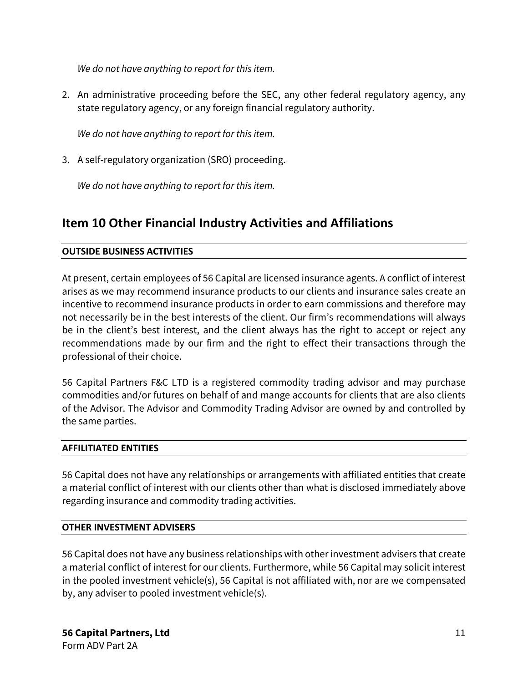*We do not have anything to report for this item.*

2. An administrative proceeding before the SEC, any other federal regulatory agency, any state regulatory agency, or any foreign financial regulatory authority.

*We do not have anything to report for this item.*

3. A self-regulatory organization (SRO) proceeding.

*We do not have anything to report for this item.*

# <span id="page-10-0"></span>**Item 10 Other Financial Industry Activities and Affiliations**

## **OUTSIDE BUSINESS ACTIVITIES**

At present, certain employees of 56 Capital are licensed insurance agents. A conflict of interest arises as we may recommend insurance products to our clients and insurance sales create an incentive to recommend insurance products in order to earn commissions and therefore may not necessarily be in the best interests of the client. Our firm's recommendations will always be in the client's best interest, and the client always has the right to accept or reject any recommendations made by our firm and the right to effect their transactions through the professional of their choice.

56 Capital Partners F&C LTD is a registered commodity trading advisor and may purchase commodities and/or futures on behalf of and mange accounts for clients that are also clients of the Advisor. The Advisor and Commodity Trading Advisor are owned by and controlled by the same parties.

### **AFFILITIATED ENTITIES**

56 Capital does not have any relationships or arrangements with affiliated entities that create a material conflict of interest with our clients other than what is disclosed immediately above regarding insurance and commodity trading activities.

### **OTHER INVESTMENT ADVISERS**

56 Capital does not have any business relationships with other investment advisers that create a material conflict of interest for our clients. Furthermore, while 56 Capital may solicit interest in the pooled investment vehicle(s), 56 Capital is not affiliated with, nor are we compensated by, any adviser to pooled investment vehicle(s).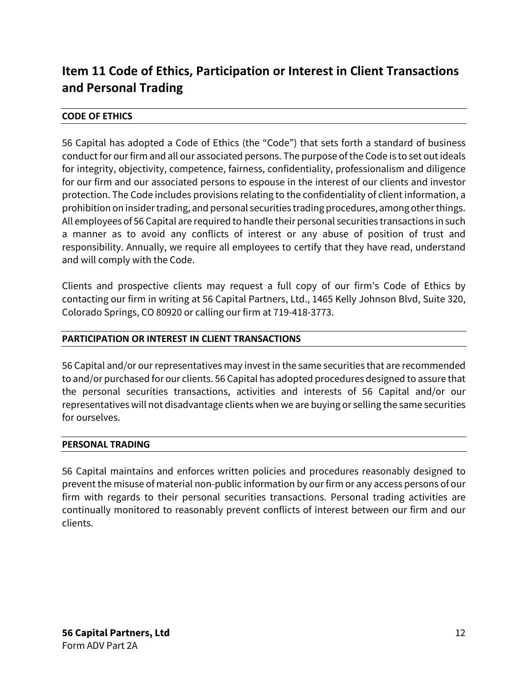# <span id="page-11-0"></span>**Item 11 Code of Ethics, Participation or Interest in Client Transactions and Personal Trading**

# **CODE OF ETHICS**

56 Capital has adopted a Code of Ethics (the "Code") that sets forth a standard of business conduct for our firm and all our associated persons. The purpose of the Code is to set out ideals for integrity, objectivity, competence, fairness, confidentiality, professionalism and diligence for our firm and our associated persons to espouse in the interest of our clients and investor protection. The Code includes provisions relating to the confidentiality of client information, a prohibition on insider trading, and personal securities trading procedures, among other things. All employees of 56 Capital are required to handle their personal securities transactions in such a manner as to avoid any conflicts of interest or any abuse of position of trust and responsibility. Annually, we require all employees to certify that they have read, understand and will comply with the Code.

Clients and prospective clients may request a full copy of our firm's Code of Ethics by contacting our firm in writing at 56 Capital Partners, Ltd., 1465 Kelly Johnson Blvd, Suite 320, Colorado Springs, CO 80920 or calling our firm at 719-418-3773.

# **PARTICIPATION OR INTEREST IN CLIENT TRANSACTIONS**

56 Capital and/or our representatives may invest in the same securities that are recommended to and/or purchased for our clients. 56 Capital has adopted procedures designed to assure that the personal securities transactions, activities and interests of 56 Capital and/or our representatives will not disadvantage clients when we are buying or selling the same securities for ourselves.

### **PERSONAL TRADING**

56 Capital maintains and enforces written policies and procedures reasonably designed to prevent the misuse of material non-public information by our firm or any access persons of our firm with regards to their personal securities transactions. Personal trading activities are continually monitored to reasonably prevent conflicts of interest between our firm and our clients.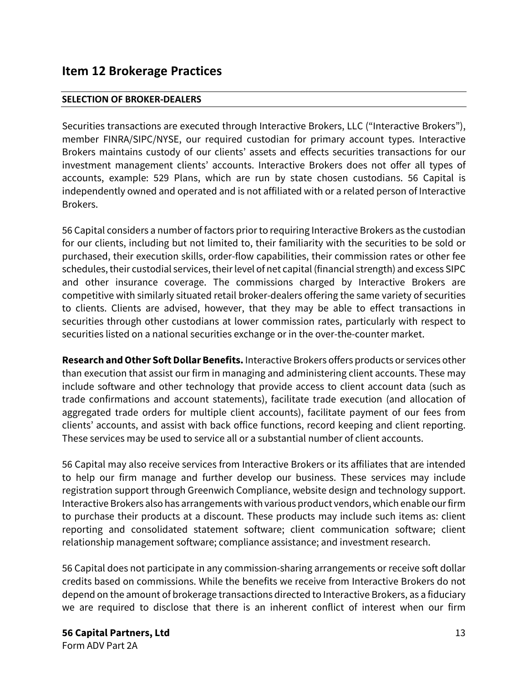# <span id="page-12-0"></span>**Item 12 Brokerage Practices**

## **SELECTION OF BROKER-DEALERS**

Securities transactions are executed through Interactive Brokers, LLC ("Interactive Brokers"), member FINRA/SIPC/NYSE, our required custodian for primary account types. Interactive Brokers maintains custody of our clients' assets and effects securities transactions for our investment management clients' accounts. Interactive Brokers does not offer all types of accounts, example: 529 Plans, which are run by state chosen custodians. 56 Capital is independently owned and operated and is not affiliated with or a related person of Interactive Brokers.

56 Capital considers a number of factors prior to requiring Interactive Brokers as the custodian for our clients, including but not limited to, their familiarity with the securities to be sold or purchased, their execution skills, order-flow capabilities, their commission rates or other fee schedules, their custodial services, their level of net capital (financial strength) and excess SIPC and other insurance coverage. The commissions charged by Interactive Brokers are competitive with similarly situated retail broker-dealers offering the same variety of securities to clients. Clients are advised, however, that they may be able to effect transactions in securities through other custodians at lower commission rates, particularly with respect to securities listed on a national securities exchange or in the over-the-counter market.

**Research and Other Soft Dollar Benefits.** Interactive Brokers offers products or services other than execution that assist our firm in managing and administering client accounts. These may include software and other technology that provide access to client account data (such as trade confirmations and account statements), facilitate trade execution (and allocation of aggregated trade orders for multiple client accounts), facilitate payment of our fees from clients' accounts, and assist with back office functions, record keeping and client reporting. These services may be used to service all or a substantial number of client accounts.

56 Capital may also receive services from Interactive Brokers or its affiliates that are intended to help our firm manage and further develop our business. These services may include registration support through Greenwich Compliance, website design and technology support. Interactive Brokers also has arrangements with various product vendors, which enable our firm to purchase their products at a discount. These products may include such items as: client reporting and consolidated statement software; client communication software; client relationship management software; compliance assistance; and investment research.

56 Capital does not participate in any commission-sharing arrangements or receive soft dollar credits based on commissions. While the benefits we receive from Interactive Brokers do not depend on the amount of brokerage transactions directed to Interactive Brokers, as a fiduciary we are required to disclose that there is an inherent conflict of interest when our firm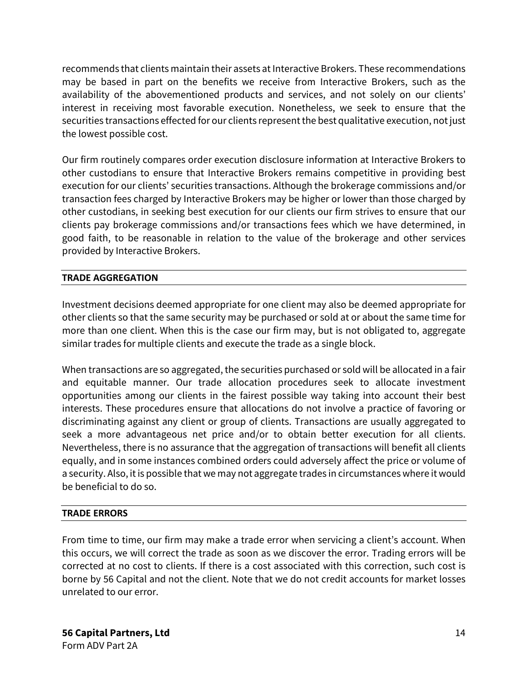recommends that clients maintain their assets at Interactive Brokers. These recommendations may be based in part on the benefits we receive from Interactive Brokers, such as the availability of the abovementioned products and services, and not solely on our clients' interest in receiving most favorable execution. Nonetheless, we seek to ensure that the securities transactions effected for our clients represent the best qualitative execution, not just the lowest possible cost.

Our firm routinely compares order execution disclosure information at Interactive Brokers to other custodians to ensure that Interactive Brokers remains competitive in providing best execution for our clients' securities transactions. Although the brokerage commissions and/or transaction fees charged by Interactive Brokers may be higher or lower than those charged by other custodians, in seeking best execution for our clients our firm strives to ensure that our clients pay brokerage commissions and/or transactions fees which we have determined, in good faith, to be reasonable in relation to the value of the brokerage and other services provided by Interactive Brokers.

# **TRADE AGGREGATION**

Investment decisions deemed appropriate for one client may also be deemed appropriate for other clients so that the same security may be purchased or sold at or about the same time for more than one client. When this is the case our firm may, but is not obligated to, aggregate similar trades for multiple clients and execute the trade as a single block.

When transactions are so aggregated, the securities purchased or sold will be allocated in a fair and equitable manner. Our trade allocation procedures seek to allocate investment opportunities among our clients in the fairest possible way taking into account their best interests. These procedures ensure that allocations do not involve a practice of favoring or discriminating against any client or group of clients. Transactions are usually aggregated to seek a more advantageous net price and/or to obtain better execution for all clients. Nevertheless, there is no assurance that the aggregation of transactions will benefit all clients equally, and in some instances combined orders could adversely affect the price or volume of a security. Also, it is possible that we may not aggregate trades in circumstances where it would be beneficial to do so.

# **TRADE ERRORS**

From time to time, our firm may make a trade error when servicing a client's account. When this occurs, we will correct the trade as soon as we discover the error. Trading errors will be corrected at no cost to clients. If there is a cost associated with this correction, such cost is borne by 56 Capital and not the client. Note that we do not credit accounts for market losses unrelated to our error.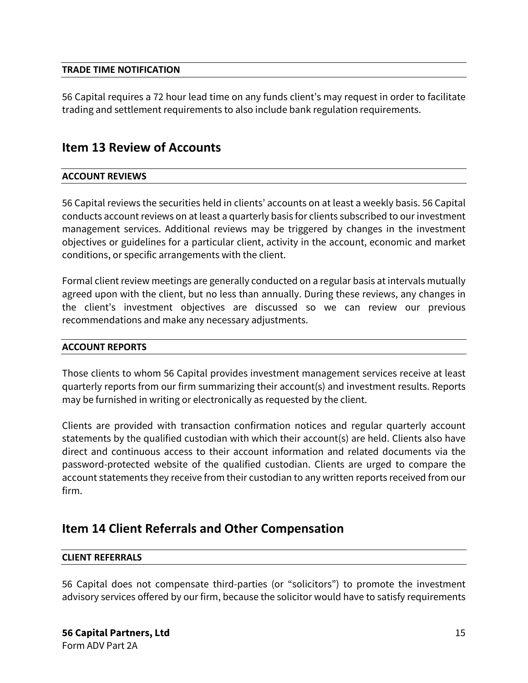## **TRADE TIME NOTIFICATION**

56 Capital requires a 72 hour lead time on any funds client's may request in order to facilitate trading and settlement requirements to also include bank regulation requirements.

# <span id="page-14-0"></span>**Item 13 Review of Accounts**

# **ACCOUNT REVIEWS**

56 Capital reviews the securities held in clients' accounts on at least a weekly basis. 56 Capital conducts account reviews on at least a quarterly basis for clients subscribed to our investment management services. Additional reviews may be triggered by changes in the investment objectives or guidelines for a particular client, activity in the account, economic and market conditions, or specific arrangements with the client.

Formal client review meetings are generally conducted on a regular basis at intervals mutually agreed upon with the client, but no less than annually. During these reviews, any changes in the client's investment objectives are discussed so we can review our previous recommendations and make any necessary adjustments.

### **ACCOUNT REPORTS**

Those clients to whom 56 Capital provides investment management services receive at least quarterly reports from our firm summarizing their account(s) and investment results. Reports may be furnished in writing or electronically as requested by the client.

Clients are provided with transaction confirmation notices and regular quarterly account statements by the qualified custodian with which their account(s) are held. Clients also have direct and continuous access to their account information and related documents via the password-protected website of the qualified custodian. Clients are urged to compare the account statements they receive from their custodian to any written reports received from our firm.

# <span id="page-14-1"></span>**Item 14 Client Referrals and Other Compensation**

### **CLIENT REFERRALS**

56 Capital does not compensate third-parties (or "solicitors") to promote the investment advisory services offered by our firm, because the solicitor would have to satisfy requirements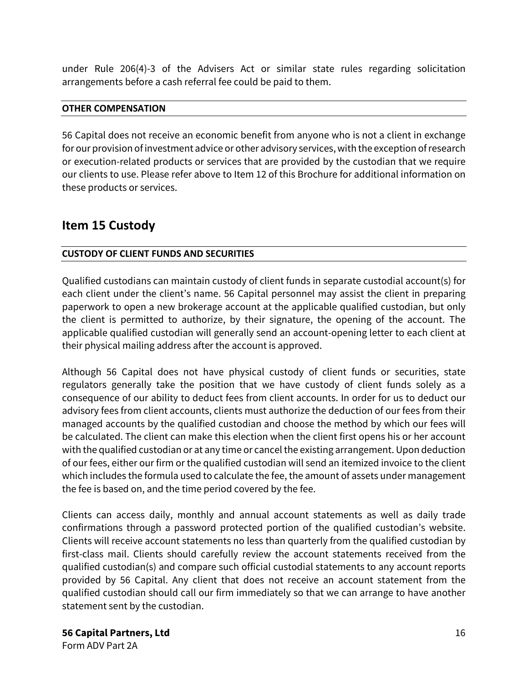under Rule 206(4)-3 of the Advisers Act or similar state rules regarding solicitation arrangements before a cash referral fee could be paid to them.

# **OTHER COMPENSATION**

56 Capital does not receive an economic benefit from anyone who is not a client in exchange for our provision of investment advice or other advisory services, with the exception of research or execution-related products or services that are provided by the custodian that we require our clients to use. Please refer above to Item 12 of this Brochure for additional information on these products or services.

# <span id="page-15-0"></span>**Item 15 Custody**

# **CUSTODY OF CLIENT FUNDS AND SECURITIES**

Qualified custodians can maintain custody of client funds in separate custodial account(s) for each client under the client's name. 56 Capital personnel may assist the client in preparing paperwork to open a new brokerage account at the applicable qualified custodian, but only the client is permitted to authorize, by their signature, the opening of the account. The applicable qualified custodian will generally send an account-opening letter to each client at their physical mailing address after the account is approved.

Although 56 Capital does not have physical custody of client funds or securities, state regulators generally take the position that we have custody of client funds solely as a consequence of our ability to deduct fees from client accounts. In order for us to deduct our advisory fees from client accounts, clients must authorize the deduction of our fees from their managed accounts by the qualified custodian and choose the method by which our fees will be calculated. The client can make this election when the client first opens his or her account with the qualified custodian or at any time or cancel the existing arrangement. Upon deduction of our fees, either our firm or the qualified custodian will send an itemized invoice to the client which includes the formula used to calculate the fee, the amount of assets under management the fee is based on, and the time period covered by the fee.

Clients can access daily, monthly and annual account statements as well as daily trade confirmations through a password protected portion of the qualified custodian's website. Clients will receive account statements no less than quarterly from the qualified custodian by first-class mail. Clients should carefully review the account statements received from the qualified custodian(s) and compare such official custodial statements to any account reports provided by 56 Capital. Any client that does not receive an account statement from the qualified custodian should call our firm immediately so that we can arrange to have another statement sent by the custodian.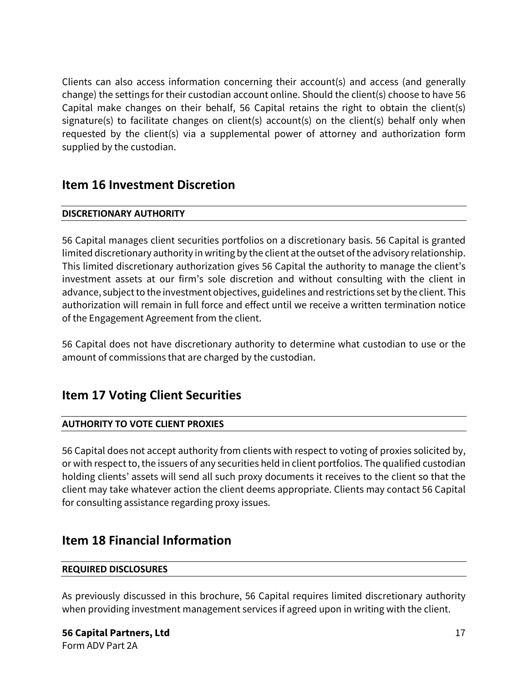Clients can also access information concerning their account(s) and access (and generally change) the settings for their custodian account online. Should the client(s) choose to have 56 Capital make changes on their behalf, 56 Capital retains the right to obtain the client(s) signature(s) to facilitate changes on client(s) account(s) on the client(s) behalf only when requested by the client(s) via a supplemental power of attorney and authorization form supplied by the custodian.

# <span id="page-16-0"></span>**Item 16 Investment Discretion**

# **DISCRETIONARY AUTHORITY**

56 Capital manages client securities portfolios on a discretionary basis. 56 Capital is granted limited discretionary authority in writing by the client at the outset of the advisory relationship. This limited discretionary authorization gives 56 Capital the authority to manage the client's investment assets at our firm's sole discretion and without consulting with the client in advance, subject to the investment objectives, guidelines and restrictions set by the client. This authorization will remain in full force and effect until we receive a written termination notice of the Engagement Agreement from the client.

56 Capital does not have discretionary authority to determine what custodian to use or the amount of commissions that are charged by the custodian.

# <span id="page-16-1"></span>**Item 17 Voting Client Securities**

# **AUTHORITY TO VOTE CLIENT PROXIES**

56 Capital does not accept authority from clients with respect to voting of proxies solicited by, or with respect to, the issuers of any securities held in client portfolios. The qualified custodian holding clients' assets will send all such proxy documents it receives to the client so that the client may take whatever action the client deems appropriate. Clients may contact 56 Capital for consulting assistance regarding proxy issues.

# <span id="page-16-2"></span>**Item 18 Financial Information**

# **REQUIRED DISCLOSURES**

As previously discussed in this brochure, 56 Capital requires limited discretionary authority when providing investment management services if agreed upon in writing with the client.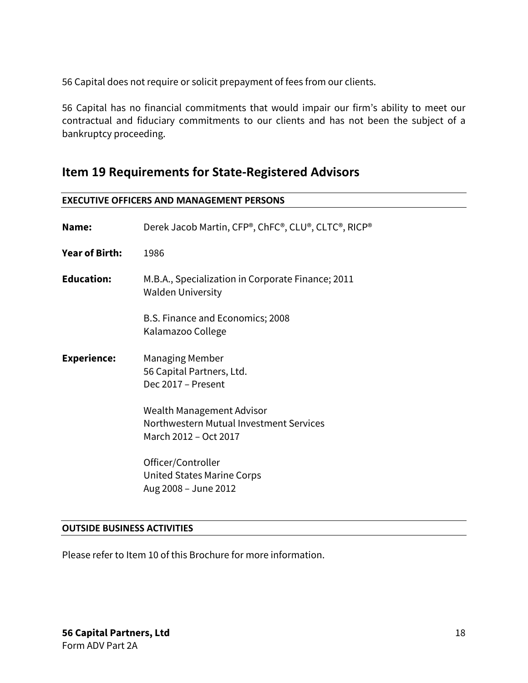56 Capital does not require or solicit prepayment of fees from our clients.

56 Capital has no financial commitments that would impair our firm's ability to meet our contractual and fiduciary commitments to our clients and has not been the subject of a bankruptcy proceeding.

# <span id="page-17-0"></span>**Item 19 Requirements for State-Registered Advisors**

| <b>EXECUTIVE OFFICERS AND MANAGEMENT PERSONS</b> |                                                                                               |  |
|--------------------------------------------------|-----------------------------------------------------------------------------------------------|--|
| Name:                                            | Derek Jacob Martin, CFP®, ChFC®, CLU®, CLTC®, RICP®                                           |  |
| <b>Year of Birth:</b>                            | 1986                                                                                          |  |
| <b>Education:</b>                                | M.B.A., Specialization in Corporate Finance; 2011<br><b>Walden University</b>                 |  |
|                                                  | B.S. Finance and Economics; 2008<br>Kalamazoo College                                         |  |
| <b>Experience:</b>                               | Managing Member<br>56 Capital Partners, Ltd.<br>Dec 2017 - Present                            |  |
|                                                  | Wealth Management Advisor<br>Northwestern Mutual Investment Services<br>March 2012 - Oct 2017 |  |
|                                                  | Officer/Controller<br><b>United States Marine Corps</b><br>Aug 2008 - June 2012               |  |

### **OUTSIDE BUSINESS ACTIVITIES**

Please refer to Item 10 of this Brochure for more information.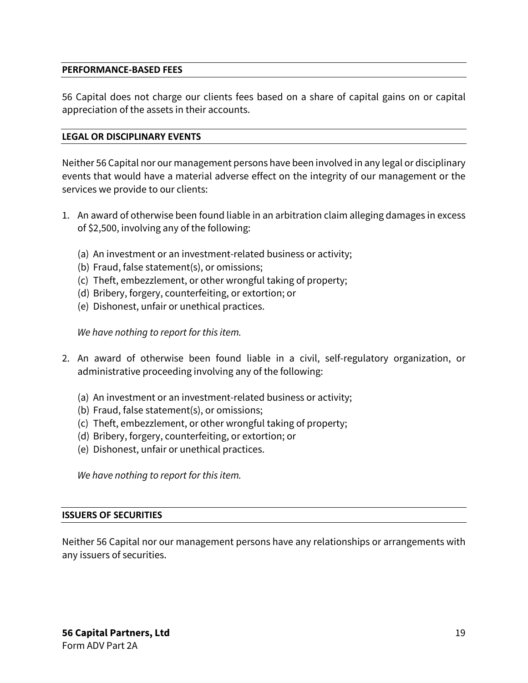### **PERFORMANCE-BASED FEES**

56 Capital does not charge our clients fees based on a share of capital gains on or capital appreciation of the assets in their accounts.

#### **LEGAL OR DISCIPLINARY EVENTS**

Neither 56 Capital nor our management persons have been involved in any legal or disciplinary events that would have a material adverse effect on the integrity of our management or the services we provide to our clients:

- 1. An award of otherwise been found liable in an arbitration claim alleging damages in excess of \$2,500, involving any of the following:
	- (a) An investment or an investment-related business or activity;
	- (b) Fraud, false statement(s), or omissions;
	- (c) Theft, embezzlement, or other wrongful taking of property;
	- (d) Bribery, forgery, counterfeiting, or extortion; or
	- (e) Dishonest, unfair or unethical practices.

*We have nothing to report for this item.*

- 2. An award of otherwise been found liable in a civil, self-regulatory organization, or administrative proceeding involving any of the following:
	- (a) An investment or an investment-related business or activity;
	- (b) Fraud, false statement(s), or omissions;
	- (c) Theft, embezzlement, or other wrongful taking of property;
	- (d) Bribery, forgery, counterfeiting, or extortion; or
	- (e) Dishonest, unfair or unethical practices.

*We have nothing to report for this item.*

#### **ISSUERS OF SECURITIES**

Neither 56 Capital nor our management persons have any relationships or arrangements with any issuers of securities.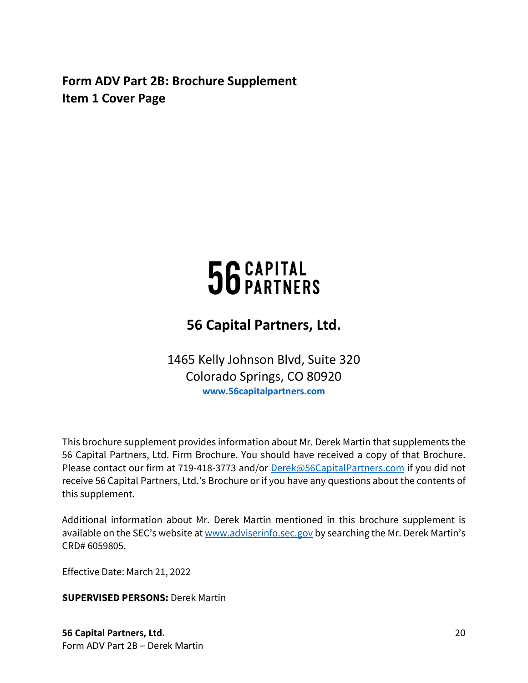<span id="page-19-0"></span>**Form ADV Part 2B: Brochure Supplement Item 1 Cover Page**

# 56 CAPITAL<br>56 PARTNERS

# **56 Capital Partners, Ltd.**

1465 Kelly Johnson Blvd, Suite 320 Colorado Springs, CO 80920 **[www.56capitalpartners.com](http://www.56capitalpartners.com/)** 

This brochure supplement provides information about Mr. Derek Martin that supplements the 56 Capital Partners, Ltd. Firm Brochure. You should have received a copy of that Brochure. Please contact our firm at 719-418-3773 and/or [Derek@56CapitalPartners.com](mailto:Derek@56CapitalPartners.com) if you did not receive 56 Capital Partners, Ltd.'s Brochure or if you have any questions about the contents of this supplement.

Additional information about Mr. Derek Martin mentioned in this brochure supplement is available on the SEC's website a[t www.adviserinfo.sec.gov](http://www.adviserinfo.sec.gov/) by searching the Mr. Derek Martin's CRD# 6059805.

Effective Date: March 21, 2022

**SUPERVISED PERSONS:** Derek Martin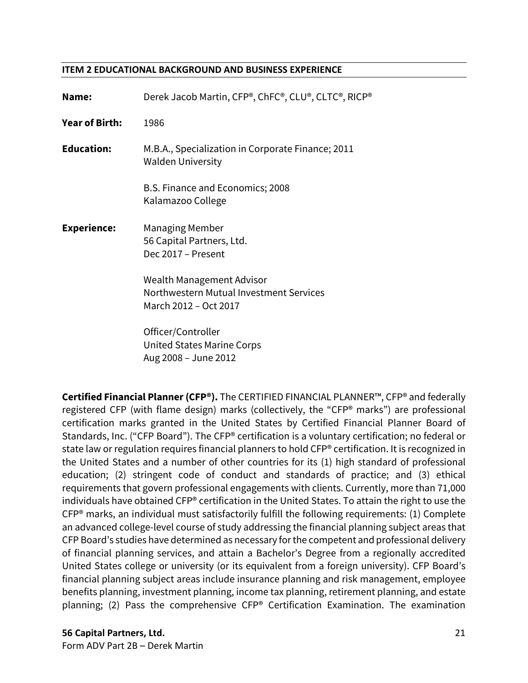#### **ITEM 2 EDUCATIONAL BACKGROUND AND BUSINESS EXPERIENCE**

| Name:                 | Derek Jacob Martin, CFP®, ChFC®, CLU®, CLTC®, RICP®                                           |
|-----------------------|-----------------------------------------------------------------------------------------------|
| <b>Year of Birth:</b> | 1986                                                                                          |
| <b>Education:</b>     | M.B.A., Specialization in Corporate Finance; 2011<br>Walden University                        |
|                       | B.S. Finance and Economics; 2008<br>Kalamazoo College                                         |
| <b>Experience:</b>    | Managing Member<br>56 Capital Partners, Ltd.<br>Dec 2017 - Present                            |
|                       | Wealth Management Advisor<br>Northwestern Mutual Investment Services<br>March 2012 - Oct 2017 |
|                       | Officer/Controller<br>United States Marine Corps                                              |

Aug 2008 – June 2012

**Certified Financial Planner (CFP®).** The CERTIFIED FINANCIAL PLANNER™, CFP® and federally registered CFP (with flame design) marks (collectively, the "CFP® marks") are professional certification marks granted in the United States by Certified Financial Planner Board of Standards, Inc. ("CFP Board"). The CFP® certification is a voluntary certification; no federal or state law or regulation requires financial planners to hold CFP® certification. It is recognized in the United States and a number of other countries for its (1) high standard of professional education; (2) stringent code of conduct and standards of practice; and (3) ethical requirements that govern professional engagements with clients. Currently, more than 71,000 individuals have obtained CFP® certification in the United States. To attain the right to use the CFP® marks, an individual must satisfactorily fulfill the following requirements: (1) Complete an advanced college-level course of study addressing the financial planning subject areas that CFP Board's studies have determined as necessary for the competent and professional delivery of financial planning services, and attain a Bachelor's Degree from a regionally accredited United States college or university (or its equivalent from a foreign university). CFP Board's financial planning subject areas include insurance planning and risk management, employee benefits planning, investment planning, income tax planning, retirement planning, and estate planning; (2) Pass the comprehensive CFP® Certification Examination. The examination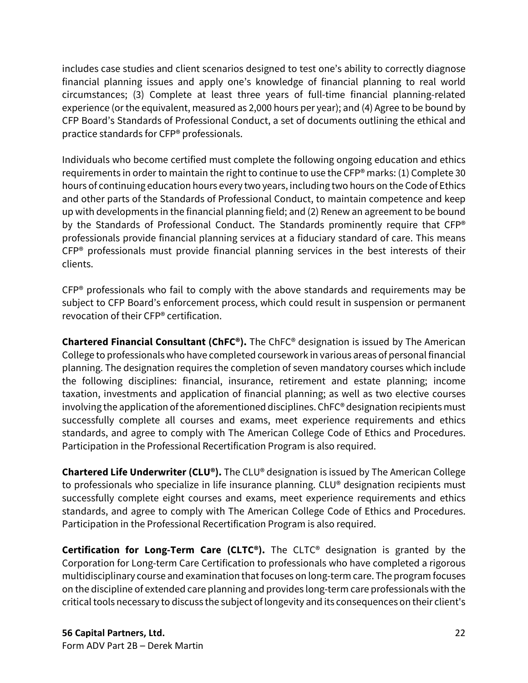includes case studies and client scenarios designed to test one's ability to correctly diagnose financial planning issues and apply one's knowledge of financial planning to real world circumstances; (3) Complete at least three years of full-time financial planning-related experience (or the equivalent, measured as 2,000 hours per year); and (4) Agree to be bound by CFP Board's Standards of Professional Conduct, a set of documents outlining the ethical and practice standards for CFP® professionals.

Individuals who become certified must complete the following ongoing education and ethics requirements in order to maintain the right to continue to use the CFP® marks: (1) Complete 30 hours of continuing education hours every two years, including two hours on the Code of Ethics and other parts of the Standards of Professional Conduct, to maintain competence and keep up with developments in the financial planning field; and (2) Renew an agreement to be bound by the Standards of Professional Conduct. The Standards prominently require that CFP® professionals provide financial planning services at a fiduciary standard of care. This means CFP® professionals must provide financial planning services in the best interests of their clients.

CFP® professionals who fail to comply with the above standards and requirements may be subject to CFP Board's enforcement process, which could result in suspension or permanent revocation of their CFP® certification.

**Chartered Financial Consultant (ChFC®).** The ChFC® designation is issued by The American College to professionals who have completed coursework in various areas of personal financial planning. The designation requires the completion of seven mandatory courses which include the following disciplines: financial, insurance, retirement and estate planning; income taxation, investments and application of financial planning; as well as two elective courses involving the application of the aforementioned disciplines. ChFC® designation recipients must successfully complete all courses and exams, meet experience requirements and ethics standards, and agree to comply with The American College Code of Ethics and Procedures. Participation in the Professional Recertification Program is also required.

**Chartered Life Underwriter (CLU®).** The CLU® designation is issued by The American College to professionals who specialize in life insurance planning. CLU® designation recipients must successfully complete eight courses and exams, meet experience requirements and ethics standards, and agree to comply with The American College Code of Ethics and Procedures. Participation in the Professional Recertification Program is also required.

**Certification for Long-Term Care (CLTC®).** The CLTC® designation is granted by the Corporation for Long-term Care Certification to professionals who have completed a rigorous multidisciplinary course and examination that focuses on long-term care. The program focuses on the discipline of extended care planning and provides long-term care professionals with the critical tools necessary to discuss the subject of longevity and its consequences on their client's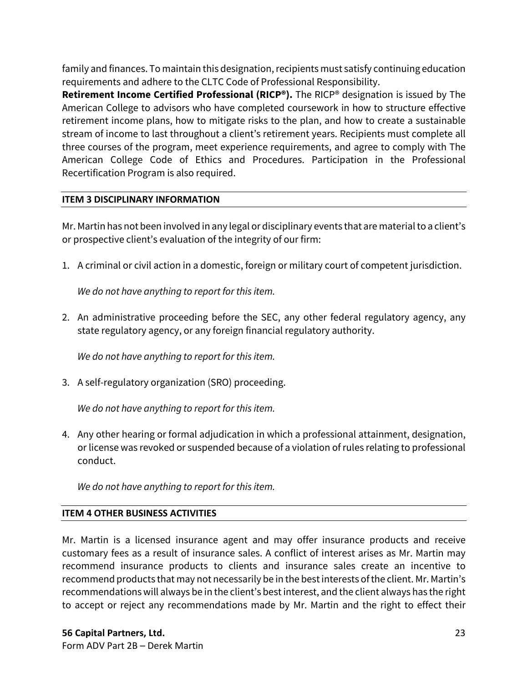family and finances. To maintain this designation, recipients must satisfy continuing education requirements and adhere to the CLTC Code of Professional Responsibility.

**Retirement Income Certified Professional (RICP®).** The RICP® designation is issued by The American College to advisors who have completed coursework in how to structure effective retirement income plans, how to mitigate risks to the plan, and how to create a sustainable stream of income to last throughout a client's retirement years. Recipients must complete all three courses of the program, meet experience requirements, and agree to comply with The American College Code of Ethics and Procedures. Participation in the Professional Recertification Program is also required.

# **ITEM 3 DISCIPLINARY INFORMATION**

Mr. Martin has not been involved in any legal or disciplinary events that are material to a client's or prospective client's evaluation of the integrity of our firm:

1. A criminal or civil action in a domestic, foreign or military court of competent jurisdiction.

*We do not have anything to report for this item.*

2. An administrative proceeding before the SEC, any other federal regulatory agency, any state regulatory agency, or any foreign financial regulatory authority.

*We do not have anything to report for this item.*

3. A self-regulatory organization (SRO) proceeding.

*We do not have anything to report for this item.*

4. Any other hearing or formal adjudication in which a professional attainment, designation, or license was revoked or suspended because of a violation of rules relating to professional conduct.

*We do not have anything to report for this item.*

# **ITEM 4 OTHER BUSINESS ACTIVITIES**

Mr. Martin is a licensed insurance agent and may offer insurance products and receive customary fees as a result of insurance sales. A conflict of interest arises as Mr. Martin may recommend insurance products to clients and insurance sales create an incentive to recommend products that may not necessarily be in the best interests of the client. Mr. Martin's recommendations will always be in the client's best interest, and the client always has the right to accept or reject any recommendations made by Mr. Martin and the right to effect their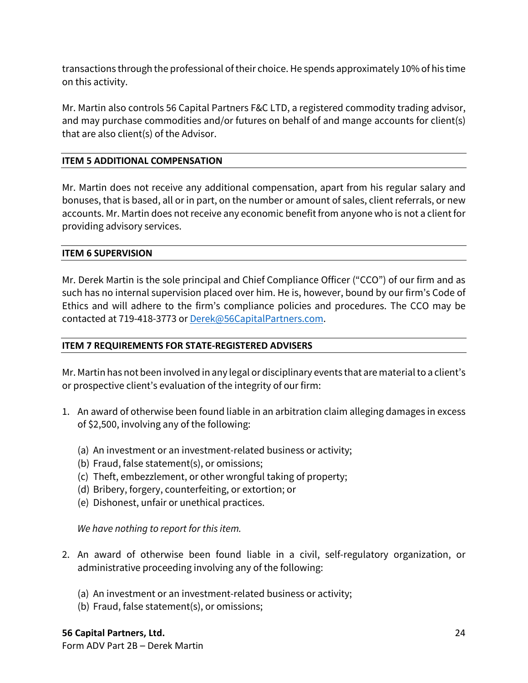transactions through the professional of their choice.He spends approximately 10% of his time on this activity.

Mr. Martin also controls 56 Capital Partners F&C LTD, a registered commodity trading advisor, and may purchase commodities and/or futures on behalf of and mange accounts for client(s) that are also client(s) of the Advisor.

# **ITEM 5 ADDITIONAL COMPENSATION**

Mr. Martin does not receive any additional compensation, apart from his regular salary and bonuses, that is based, all or in part, on the number or amount of sales, client referrals, or new accounts. Mr. Martin does not receive any economic benefit from anyone who is not a client for providing advisory services.

# **ITEM 6 SUPERVISION**

Mr. Derek Martin is the sole principal and Chief Compliance Officer ("CCO") of our firm and as such has no internal supervision placed over him. He is, however, bound by our firm's Code of Ethics and will adhere to the firm's compliance policies and procedures. The CCO may be contacted at 719-418-3773 or [Derek@56CapitalPartners.com.](mailto:Derek@56CapitalPartners.com)

# **ITEM 7 REQUIREMENTS FOR STATE-REGISTERED ADVISERS**

Mr. Martin has not been involved in any legal or disciplinary events that are material to a client's or prospective client's evaluation of the integrity of our firm:

- 1. An award of otherwise been found liable in an arbitration claim alleging damages in excess of \$2,500, involving any of the following:
	- (a) An investment or an investment-related business or activity;
	- (b) Fraud, false statement(s), or omissions;
	- (c) Theft, embezzlement, or other wrongful taking of property;
	- (d) Bribery, forgery, counterfeiting, or extortion; or
	- (e) Dishonest, unfair or unethical practices.

*We have nothing to report for this item.*

- 2. An award of otherwise been found liable in a civil, self-regulatory organization, or administrative proceeding involving any of the following:
	- (a) An investment or an investment-related business or activity;
	- (b) Fraud, false statement(s), or omissions;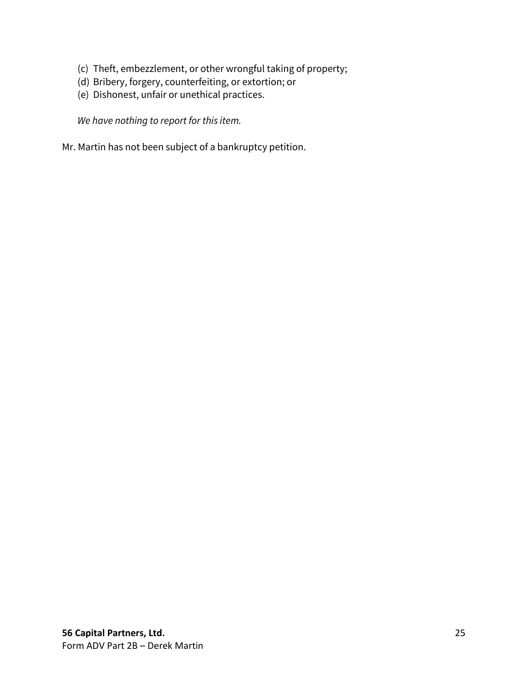- (c) Theft, embezzlement, or other wrongful taking of property;
- (d) Bribery, forgery, counterfeiting, or extortion; or
- (e) Dishonest, unfair or unethical practices.

*We have nothing to report for this item.*

Mr. Martin has not been subject of a bankruptcy petition.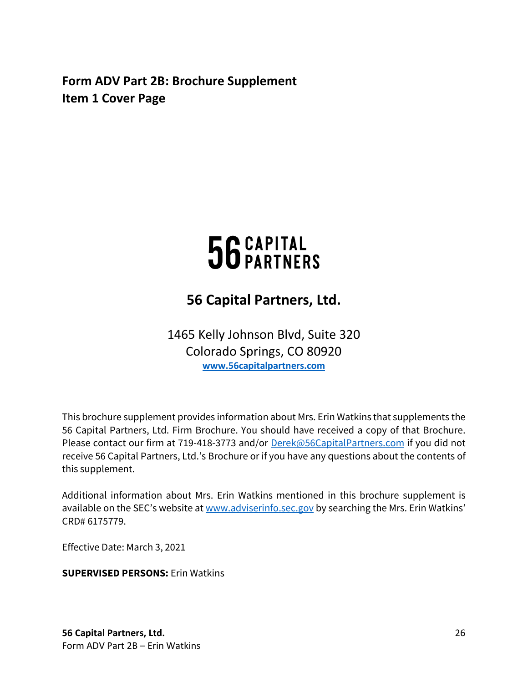<span id="page-25-0"></span>**Form ADV Part 2B: Brochure Supplement Item 1 Cover Page**

# 56 CAPITAL

# **56 Capital Partners, Ltd.**

1465 Kelly Johnson Blvd, Suite 320 Colorado Springs, CO 80920 **[www.56capitalpartners.com](http://www.56capitalpartners.com/)** 

This brochure supplement provides information about Mrs. Erin Watkins that supplements the 56 Capital Partners, Ltd. Firm Brochure. You should have received a copy of that Brochure. Please contact our firm at 719-418-3773 and/or [Derek@56CapitalPartners.com](mailto:Derek@56CapitalPartners.com) if you did not receive 56 Capital Partners, Ltd.'s Brochure or if you have any questions about the contents of this supplement.

Additional information about Mrs. Erin Watkins mentioned in this brochure supplement is available on the SEC's website a[t www.adviserinfo.sec.gov](http://www.adviserinfo.sec.gov/) by searching the Mrs. Erin Watkins' CRD# 6175779.

Effective Date: March 3, 2021

# **SUPERVISED PERSONS:** Erin Watkins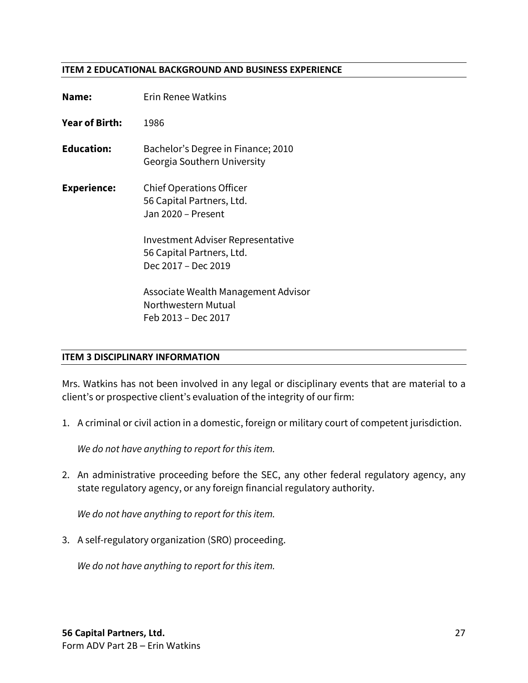#### **ITEM 2 EDUCATIONAL BACKGROUND AND BUSINESS EXPERIENCE**

| Name:             | <b>Erin Renee Watkins</b>                                                             |
|-------------------|---------------------------------------------------------------------------------------|
| Year of Birth:    | 1986                                                                                  |
| <b>Education:</b> | Bachelor's Degree in Finance; 2010<br>Georgia Southern University                     |
| Experience:       | <b>Chief Operations Officer</b><br>56 Capital Partners, Ltd.<br>Jan 2020 - Present    |
|                   | Investment Adviser Representative<br>56 Capital Partners, Ltd.<br>Dec 2017 - Dec 2019 |
|                   | Associate Wealth Management Advisor<br>Northwestern Mutual<br>Feb 2013 – Dec 2017     |

### **ITEM 3 DISCIPLINARY INFORMATION**

Mrs. Watkins has not been involved in any legal or disciplinary events that are material to a client's or prospective client's evaluation of the integrity of our firm:

1. A criminal or civil action in a domestic, foreign or military court of competent jurisdiction.

*We do not have anything to report for this item.*

2. An administrative proceeding before the SEC, any other federal regulatory agency, any state regulatory agency, or any foreign financial regulatory authority.

*We do not have anything to report for this item.*

3. A self-regulatory organization (SRO) proceeding.

*We do not have anything to report for this item.*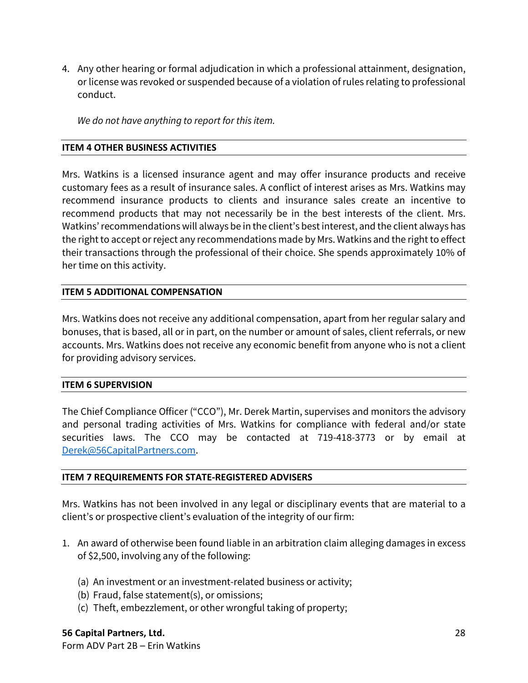4. Any other hearing or formal adjudication in which a professional attainment, designation, or license was revoked or suspended because of a violation of rules relating to professional conduct.

*We do not have anything to report for this item.*

## **ITEM 4 OTHER BUSINESS ACTIVITIES**

Mrs. Watkins is a licensed insurance agent and may offer insurance products and receive customary fees as a result of insurance sales. A conflict of interest arises as Mrs. Watkins may recommend insurance products to clients and insurance sales create an incentive to recommend products that may not necessarily be in the best interests of the client. Mrs. Watkins'recommendations will always be in the client's best interest, and the client always has the right to accept or reject any recommendations made by Mrs. Watkins and the right to effect their transactions through the professional of their choice. She spends approximately 10% of her time on this activity.

# **ITEM 5 ADDITIONAL COMPENSATION**

Mrs. Watkins does not receive any additional compensation, apart from her regular salary and bonuses, that is based, all or in part, on the number or amount of sales, client referrals, or new accounts. Mrs. Watkins does not receive any economic benefit from anyone who is not a client for providing advisory services.

### **ITEM 6 SUPERVISION**

The Chief Compliance Officer ("CCO"), Mr. Derek Martin, supervises and monitors the advisory and personal trading activities of Mrs. Watkins for compliance with federal and/or state securities laws. The CCO may be contacted at 719-418-3773 or by email at [Derek@56CapitalPartners.com.](mailto:Derek@56CapitalPartners.com)

### **ITEM 7 REQUIREMENTS FOR STATE-REGISTERED ADVISERS**

Mrs. Watkins has not been involved in any legal or disciplinary events that are material to a client's or prospective client's evaluation of the integrity of our firm:

- 1. An award of otherwise been found liable in an arbitration claim alleging damages in excess of \$2,500, involving any of the following:
	- (a) An investment or an investment-related business or activity;
	- (b) Fraud, false statement(s), or omissions;
	- (c) Theft, embezzlement, or other wrongful taking of property;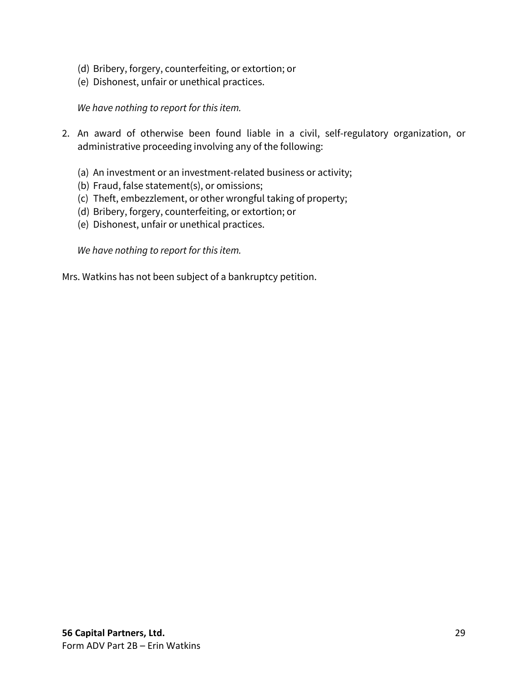- (d) Bribery, forgery, counterfeiting, or extortion; or
- (e) Dishonest, unfair or unethical practices.

# *We have nothing to report for this item.*

- 2. An award of otherwise been found liable in a civil, self-regulatory organization, or administrative proceeding involving any of the following:
	- (a) An investment or an investment-related business or activity;
	- (b) Fraud, false statement(s), or omissions;
	- (c) Theft, embezzlement, or other wrongful taking of property;
	- (d) Bribery, forgery, counterfeiting, or extortion; or
	- (e) Dishonest, unfair or unethical practices.

*We have nothing to report for this item.*

Mrs. Watkins has not been subject of a bankruptcy petition.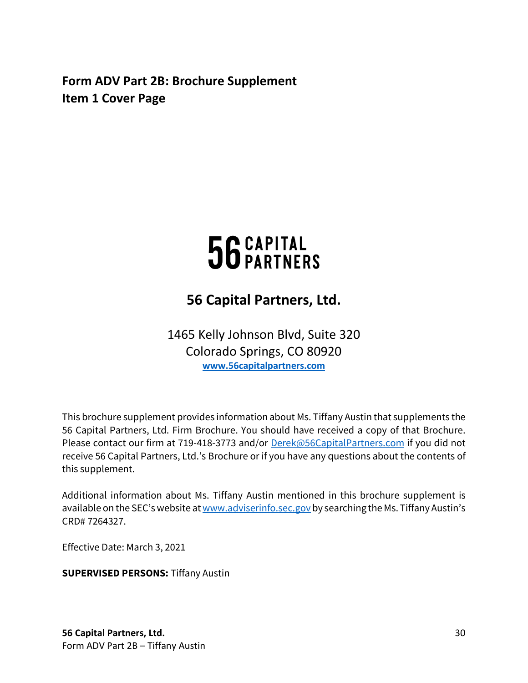<span id="page-29-0"></span>**Form ADV Part 2B: Brochure Supplement Item 1 Cover Page**

# 56 CAPITAL

# **56 Capital Partners, Ltd.**

1465 Kelly Johnson Blvd, Suite 320 Colorado Springs, CO 80920 **[www.56capitalpartners.com](http://www.56capitalpartners.com/)** 

This brochure supplement provides information about Ms. Tiffany Austin that supplements the 56 Capital Partners, Ltd. Firm Brochure. You should have received a copy of that Brochure. Please contact our firm at 719-418-3773 and/or [Derek@56CapitalPartners.com](mailto:Derek@56CapitalPartners.com) if you did not receive 56 Capital Partners, Ltd.'s Brochure or if you have any questions about the contents of this supplement.

Additional information about Ms. Tiffany Austin mentioned in this brochure supplement is available on the SEC's website a[t www.adviserinfo.sec.gov](http://www.adviserinfo.sec.gov/) by searching the Ms. Tiffany Austin's CRD# 7264327.

Effective Date: March 3, 2021

**SUPERVISED PERSONS:** Tiffany Austin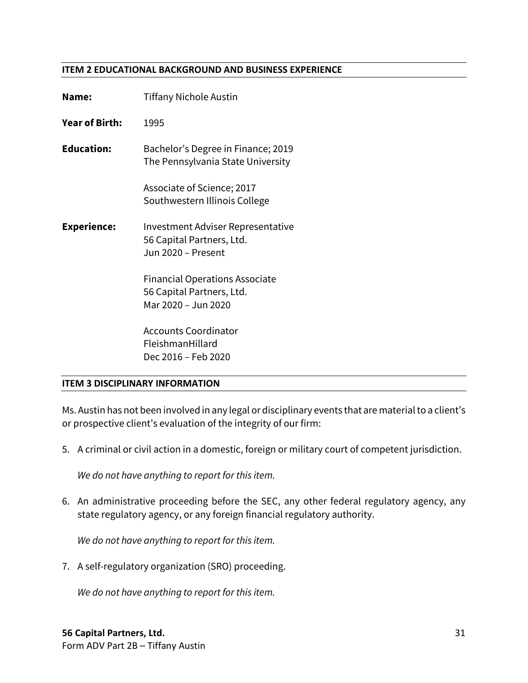#### **ITEM 2 EDUCATIONAL BACKGROUND AND BUSINESS EXPERIENCE**

| Name:                 | <b>Tiffany Nichole Austin</b>                                                             |
|-----------------------|-------------------------------------------------------------------------------------------|
| <b>Year of Birth:</b> | 1995                                                                                      |
| <b>Education:</b>     | Bachelor's Degree in Finance; 2019<br>The Pennsylvania State University                   |
|                       | Associate of Science; 2017<br>Southwestern Illinois College                               |
| <b>Experience:</b>    | Investment Adviser Representative<br>56 Capital Partners, Ltd.<br>Jun 2020 - Present      |
|                       | <b>Financial Operations Associate</b><br>56 Capital Partners, Ltd.<br>Mar 2020 - Jun 2020 |
|                       | <b>Accounts Coordinator</b><br>FleishmanHillard<br>Dec 2016 - Feb 2020                    |

### **ITEM 3 DISCIPLINARY INFORMATION**

Ms. Austin has not been involved in any legal or disciplinary events that are material to a client's or prospective client's evaluation of the integrity of our firm:

5. A criminal or civil action in a domestic, foreign or military court of competent jurisdiction.

*We do not have anything to report for this item.*

6. An administrative proceeding before the SEC, any other federal regulatory agency, any state regulatory agency, or any foreign financial regulatory authority.

*We do not have anything to report for this item.*

7. A self-regulatory organization (SRO) proceeding.

*We do not have anything to report for this item.*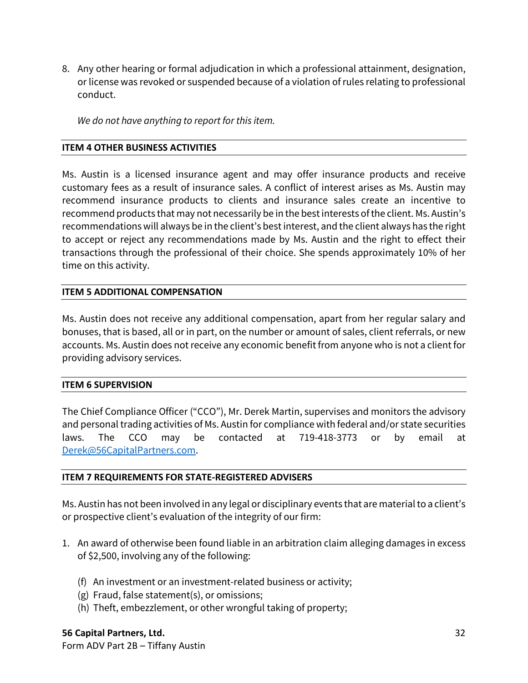8. Any other hearing or formal adjudication in which a professional attainment, designation, or license was revoked or suspended because of a violation of rules relating to professional conduct.

*We do not have anything to report for this item.*

## **ITEM 4 OTHER BUSINESS ACTIVITIES**

Ms. Austin is a licensed insurance agent and may offer insurance products and receive customary fees as a result of insurance sales. A conflict of interest arises as Ms. Austin may recommend insurance products to clients and insurance sales create an incentive to recommend products that may not necessarily be in the best interests of the client. Ms. Austin's recommendations will always be in the client's best interest, and the client always has the right to accept or reject any recommendations made by Ms. Austin and the right to effect their transactions through the professional of their choice. She spends approximately 10% of her time on this activity.

# **ITEM 5 ADDITIONAL COMPENSATION**

Ms. Austin does not receive any additional compensation, apart from her regular salary and bonuses, that is based, all or in part, on the number or amount of sales, client referrals, or new accounts. Ms. Austin does not receive any economic benefit from anyone who is not a client for providing advisory services.

### **ITEM 6 SUPERVISION**

The Chief Compliance Officer ("CCO"), Mr. Derek Martin, supervises and monitors the advisory and personal trading activities of Ms. Austin for compliance with federal and/or state securities laws. The CCO may be contacted at 719-418-3773 or by email at [Derek@56CapitalPartners.com.](mailto:Derek@56CapitalPartners.com)

# **ITEM 7 REQUIREMENTS FOR STATE-REGISTERED ADVISERS**

Ms. Austin has not been involved in any legal or disciplinary events that are material to a client's or prospective client's evaluation of the integrity of our firm:

- 1. An award of otherwise been found liable in an arbitration claim alleging damages in excess of \$2,500, involving any of the following:
	- (f) An investment or an investment-related business or activity;
	- (g) Fraud, false statement(s), or omissions;
	- (h) Theft, embezzlement, or other wrongful taking of property;